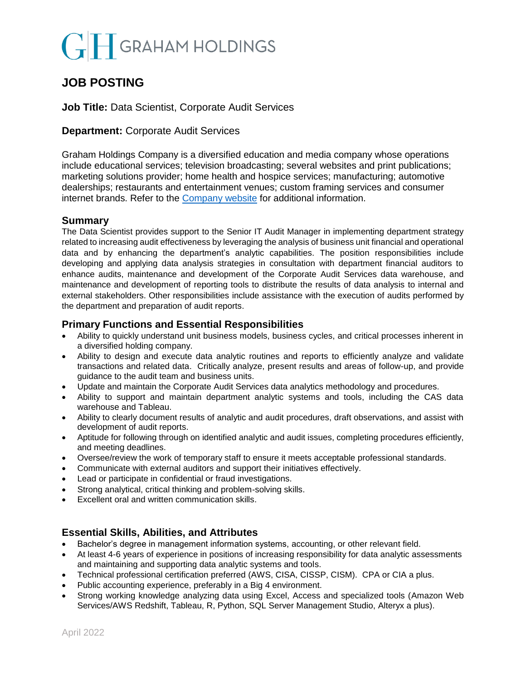# **GRAHAM HOLDINGS**

# **JOB POSTING**

# **Job Title:** Data Scientist, Corporate Audit Services

# **Department:** Corporate Audit Services

Graham Holdings Company is a diversified education and media company whose operations include educational services; television broadcasting; several websites and print publications; marketing solutions provider; home health and hospice services; manufacturing; automotive dealerships; restaurants and entertainment venues; custom framing services and consumer internet brands. Refer to the [Company website](mailto:https://www.ghco.com/) for additional information.

### **Summary**

The Data Scientist provides support to the Senior IT Audit Manager in implementing department strategy related to increasing audit effectiveness by leveraging the analysis of business unit financial and operational data and by enhancing the department's analytic capabilities. The position responsibilities include developing and applying data analysis strategies in consultation with department financial auditors to enhance audits, maintenance and development of the Corporate Audit Services data warehouse, and maintenance and development of reporting tools to distribute the results of data analysis to internal and external stakeholders. Other responsibilities include assistance with the execution of audits performed by the department and preparation of audit reports.

### **Primary Functions and Essential Responsibilities**

- Ability to quickly understand unit business models, business cycles, and critical processes inherent in a diversified holding company.
- Ability to design and execute data analytic routines and reports to efficiently analyze and validate transactions and related data. Critically analyze, present results and areas of follow-up, and provide guidance to the audit team and business units.
- Update and maintain the Corporate Audit Services data analytics methodology and procedures.
- Ability to support and maintain department analytic systems and tools, including the CAS data warehouse and Tableau.
- Ability to clearly document results of analytic and audit procedures, draft observations, and assist with development of audit reports.
- Aptitude for following through on identified analytic and audit issues, completing procedures efficiently, and meeting deadlines.
- Oversee/review the work of temporary staff to ensure it meets acceptable professional standards.
- Communicate with external auditors and support their initiatives effectively.
- Lead or participate in confidential or fraud investigations.
- Strong analytical, critical thinking and problem-solving skills.
- Excellent oral and written communication skills.

# **Essential Skills, Abilities, and Attributes**

- Bachelor's degree in management information systems, accounting, or other relevant field.
- At least 4-6 years of experience in positions of increasing responsibility for data analytic assessments and maintaining and supporting data analytic systems and tools.
- Technical professional certification preferred (AWS, CISA, CISSP, CISM). CPA or CIA a plus.
- Public accounting experience, preferably in a Big 4 environment.
- Strong working knowledge analyzing data using Excel, Access and specialized tools (Amazon Web Services/AWS Redshift, Tableau, R, Python, SQL Server Management Studio, Alteryx a plus).